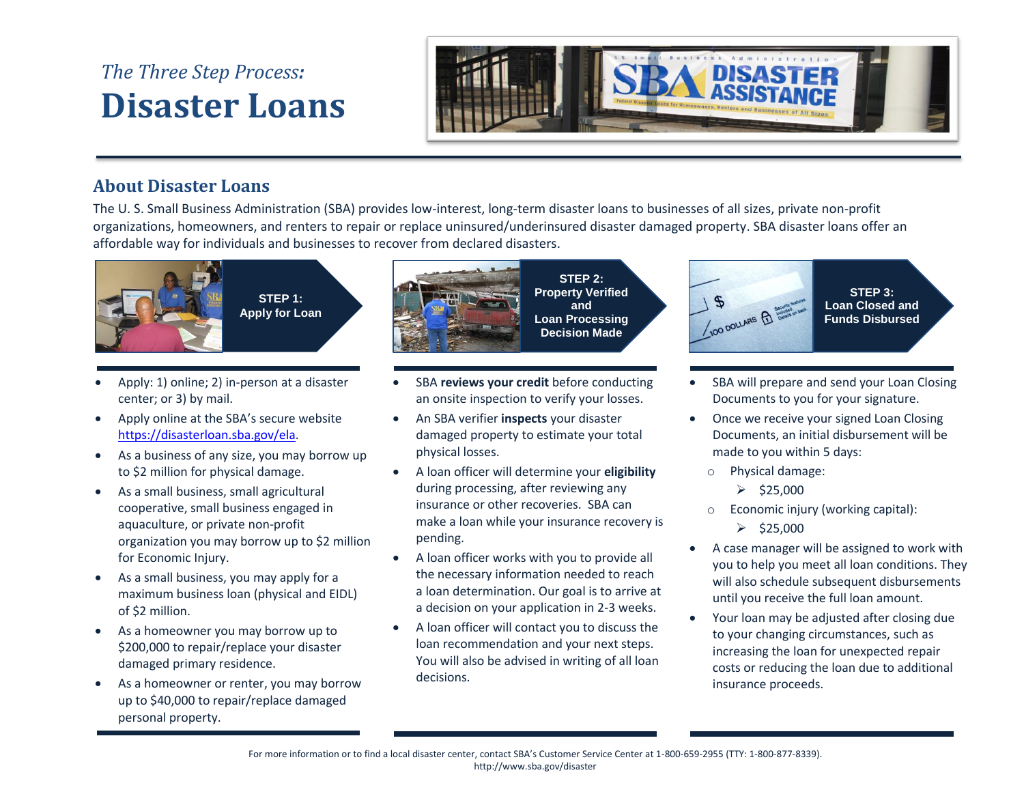## *The Three Step Process:* **Disaster Loans**



## **About Disaster Loans**

The U. S. Small Business Administration (SBA) provides low-interest, long-term disaster loans to businesses of all sizes, private non-profit organizations, homeowners, and renters to repair or replace uninsured/underinsured disaster damaged property. SBA disaster loans offer an affordable way for individuals and businesses to recover from declared disasters.



**STEP 1: Apply for Loan**

- Apply: 1) online; 2) in-person at a disaster center; or 3) by mail.
- Apply online at the SBA's secure website [https://disasterloan.sba.gov/ela.](https://disasterloan.sba.gov/ela)
- As a business of any size, you may borrow up to \$2 million for physical damage.
- As a small business, small agricultural cooperative, small business engaged in aquaculture, or private non-profit organization you may borrow up to \$2 million for Economic Injury.
- As a small business, you may apply for a maximum business loan (physical and EIDL) of \$2 million.
- As a homeowner you may borrow up to \$200,000 to repair/replace your disaster damaged primary residence.
- As a homeowner or renter, you may borrow up to \$40,000 to repair/replace damaged personal property.



**STEP 2: Property Verified and Loan Processing Decision Made**

- SBA **reviews your credit** before conducting an onsite inspection to verify your losses.
- An SBA verifier **inspects** your disaster damaged property to estimate your total physical losses.
- A loan officer will determine your **eligibility** during processing, after reviewing any insurance or other recoveries. SBA can make a loan while your insurance recovery is pending.
- A loan officer works with you to provide all the necessary information needed to reach a loan determination. Our goal is to arrive at a decision on your application in 2-3 weeks.
- A loan officer will contact you to discuss the loan recommendation and your next steps. You will also be advised in writing of all loan decisions.



- SBA will prepare and send your Loan Closing Documents to you for your signature.
- Once we receive your signed Loan Closing Documents, an initial disbursement will be made to you within 5 days:
	- o Physical damage:
		- $\geq$  \$25,000
	- o Economic injury (working capital):
		- $\ge$  \$25,000
- A case manager will be assigned to work with you to help you meet all loan conditions. They will also schedule subsequent disbursements until you receive the full loan amount.
- Your loan may be adjusted after closing due to your changing circumstances, such as increasing the loan for unexpected repair costs or reducing the loan due to additional insurance proceeds.